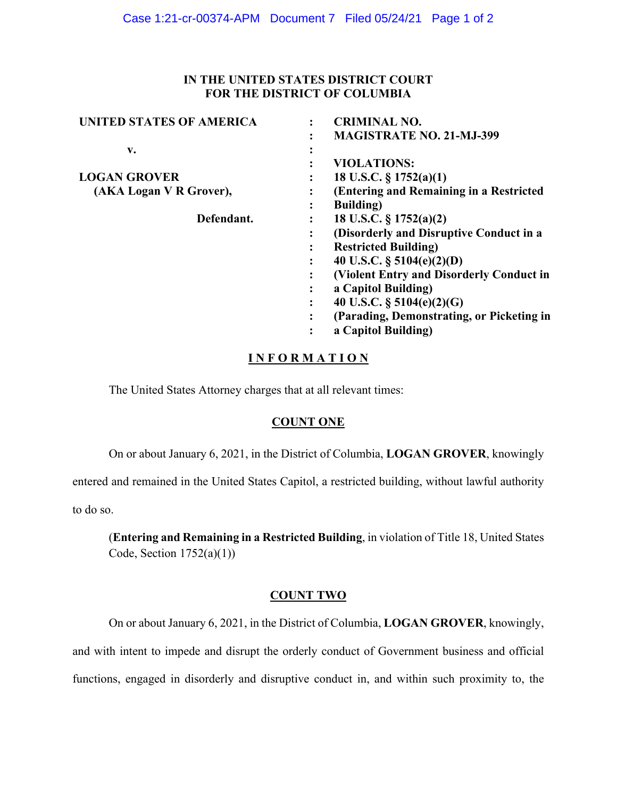### **IN THE UNITED STATES DISTRICT COURT FOR THE DISTRICT OF COLUMBIA**

| <b>UNITED STATES OF AMERICA</b> | <b>CRIMINAL NO.</b>                       |
|---------------------------------|-------------------------------------------|
|                                 | <b>MAGISTRATE NO. 21-MJ-399</b><br>٠      |
| v.                              |                                           |
|                                 | <b>VIOLATIONS:</b><br>٠                   |
| <b>LOGAN GROVER</b>             | 18 U.S.C. $\S 1752(a)(1)$<br>٠            |
| (AKA Logan V R Grover),         | (Entering and Remaining in a Restricted   |
|                                 | <b>Building</b> )<br>٠                    |
| Defendant.                      | 18 U.S.C. $\S 1752(a)(2)$<br>٠            |
|                                 | (Disorderly and Disruptive Conduct in a   |
|                                 | <b>Restricted Building</b> )<br>٠         |
|                                 | 40 U.S.C. $\S$ 5104(e)(2)(D)<br>٠         |
|                                 | (Violent Entry and Disorderly Conduct in  |
|                                 | a Capitol Building)<br>٠                  |
|                                 | 40 U.S.C. $\S$ 5104(e)(2)(G)<br>٠         |
|                                 | (Parading, Demonstrating, or Picketing in |
|                                 | a Capitol Building)                       |
|                                 |                                           |

# **I N F O R M A T I O N**

The United States Attorney charges that at all relevant times:

### **COUNT ONE**

On or about January 6, 2021, in the District of Columbia, **LOGAN GROVER**, knowingly

entered and remained in the United States Capitol, a restricted building, without lawful authority

to do so.

(**Entering and Remaining in a Restricted Building**, in violation of Title 18, United States Code, Section  $1752(a)(1)$ )

### **COUNT TWO**

On or about January 6, 2021, in the District of Columbia, **LOGAN GROVER**, knowingly,

and with intent to impede and disrupt the orderly conduct of Government business and official functions, engaged in disorderly and disruptive conduct in, and within such proximity to, the